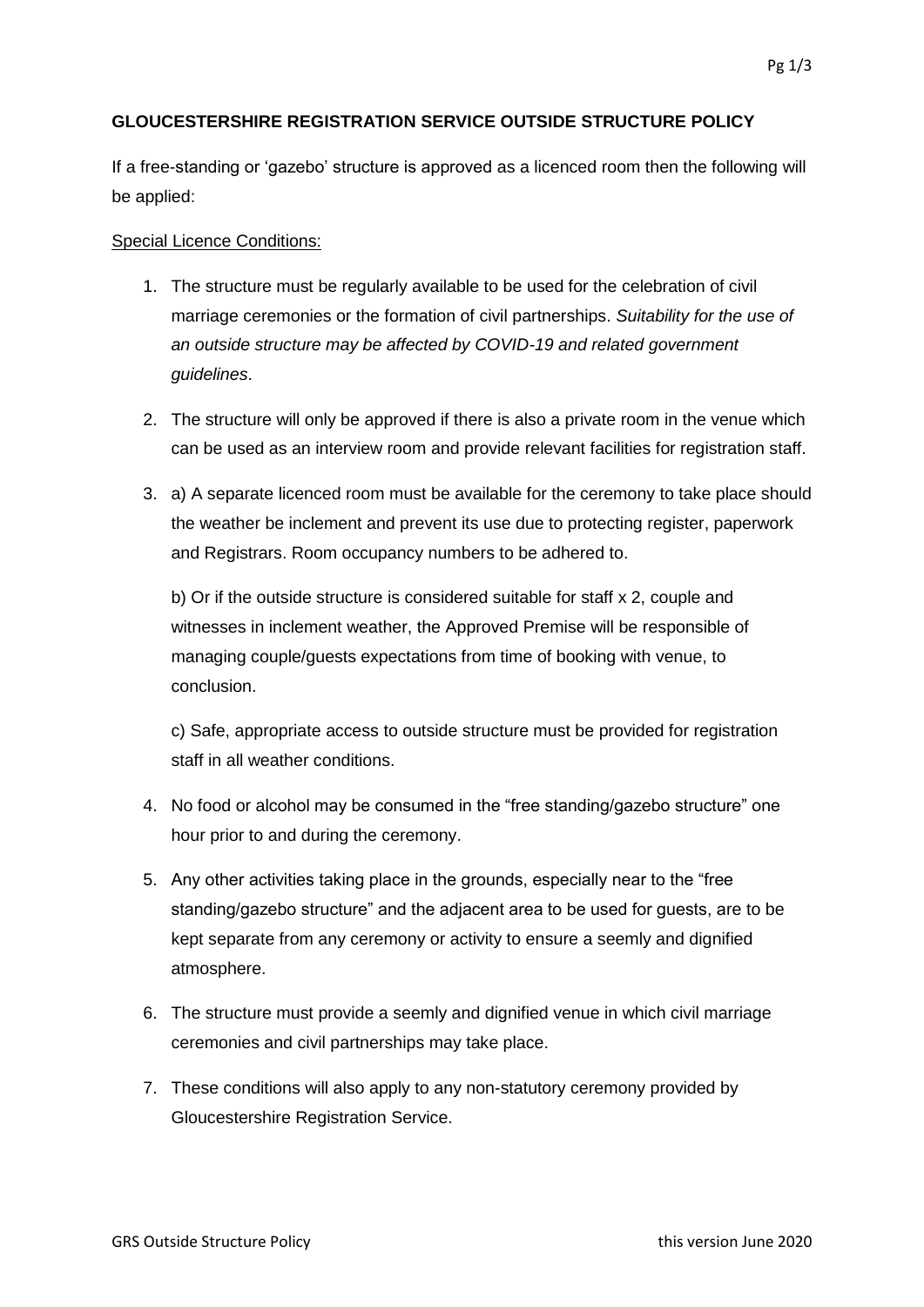## **GLOUCESTERSHIRE REGISTRATION SERVICE OUTSIDE STRUCTURE POLICY**

If a free-standing or 'gazebo' structure is approved as a licenced room then the following will be applied:

## Special Licence Conditions:

- 1. The structure must be regularly available to be used for the celebration of civil marriage ceremonies or the formation of civil partnerships. *Suitability for the use of an outside structure may be affected by COVID-19 and related government guidelines*.
- 2. The structure will only be approved if there is also a private room in the venue which can be used as an interview room and provide relevant facilities for registration staff.
- 3. a) A separate licenced room must be available for the ceremony to take place should the weather be inclement and prevent its use due to protecting register, paperwork and Registrars. Room occupancy numbers to be adhered to.

b) Or if the outside structure is considered suitable for staff x 2, couple and witnesses in inclement weather, the Approved Premise will be responsible of managing couple/guests expectations from time of booking with venue, to conclusion.

c) Safe, appropriate access to outside structure must be provided for registration staff in all weather conditions.

- 4. No food or alcohol may be consumed in the "free standing/gazebo structure" one hour prior to and during the ceremony.
- 5. Any other activities taking place in the grounds, especially near to the "free standing/gazebo structure" and the adjacent area to be used for guests, are to be kept separate from any ceremony or activity to ensure a seemly and dignified atmosphere.
- 6. The structure must provide a seemly and dignified venue in which civil marriage ceremonies and civil partnerships may take place.
- 7. These conditions will also apply to any non-statutory ceremony provided by Gloucestershire Registration Service.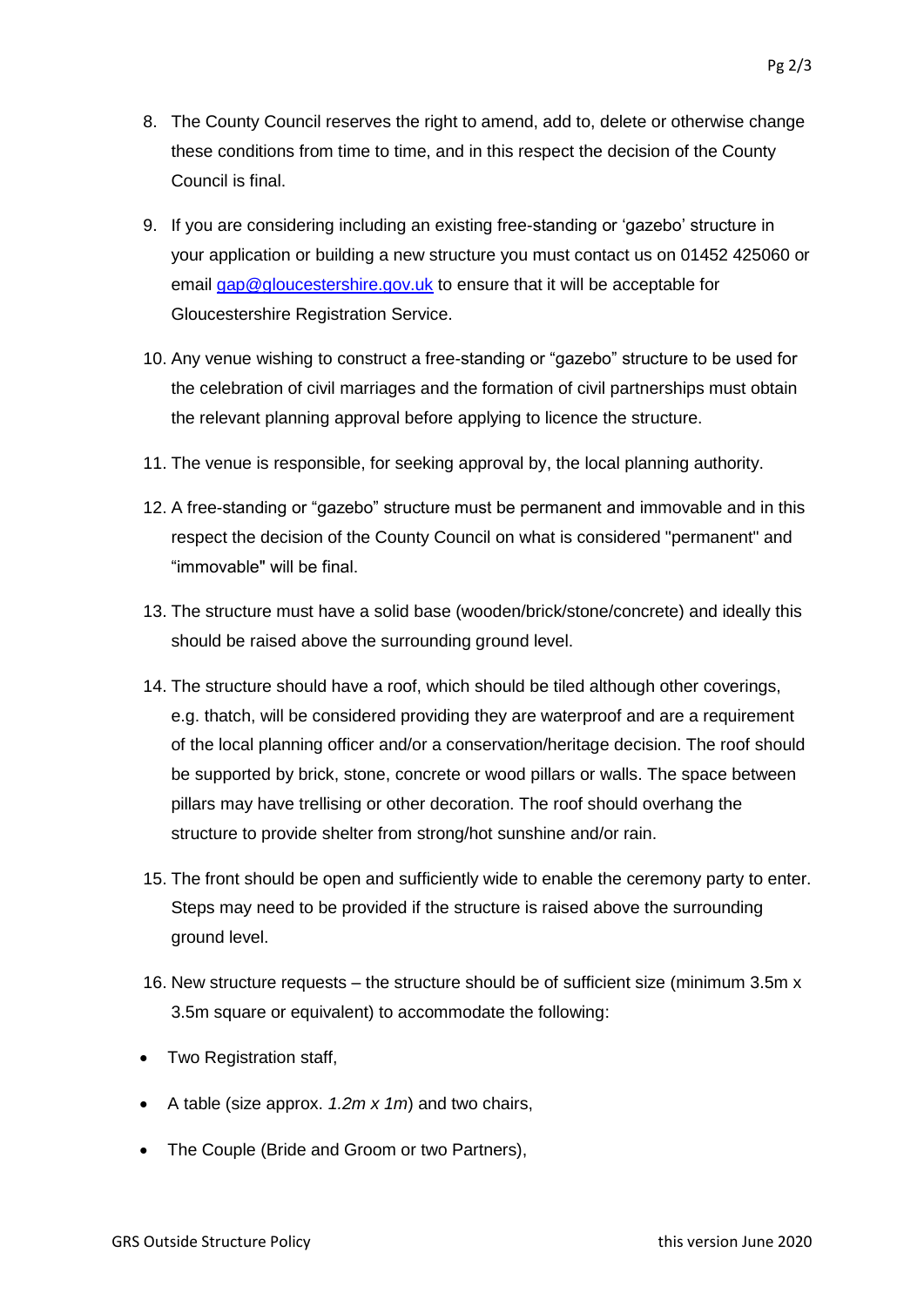- 8. The County Council reserves the right to amend, add to, delete or otherwise change these conditions from time to time, and in this respect the decision of the County Council is final.
- 9. If you are considering including an existing free-standing or 'gazebo' structure in your application or building a new structure you must contact us on 01452 425060 or email [gap@gloucestershire.gov.uk](mailto:gap@gloucestershire.gov.uk) to ensure that it will be acceptable for Gloucestershire Registration Service.
- 10. Any venue wishing to construct a free-standing or "gazebo" structure to be used for the celebration of civil marriages and the formation of civil partnerships must obtain the relevant planning approval before applying to licence the structure.
- 11. The venue is responsible, for seeking approval by, the local planning authority.
- 12. A free-standing or "gazebo" structure must be permanent and immovable and in this respect the decision of the County Council on what is considered "permanent" and "immovable" will be final.
- 13. The structure must have a solid base (wooden/brick/stone/concrete) and ideally this should be raised above the surrounding ground level.
- 14. The structure should have a roof, which should be tiled although other coverings, e.g. thatch, will be considered providing they are waterproof and are a requirement of the local planning officer and/or a conservation/heritage decision. The roof should be supported by brick, stone, concrete or wood pillars or walls. The space between pillars may have trellising or other decoration. The roof should overhang the structure to provide shelter from strong/hot sunshine and/or rain.
- 15. The front should be open and sufficiently wide to enable the ceremony party to enter. Steps may need to be provided if the structure is raised above the surrounding ground level.
- 16. New structure requests the structure should be of sufficient size (minimum 3.5m x 3.5m square or equivalent) to accommodate the following:
- Two Registration staff,
- A table (size approx. *1.2m x 1m*) and two chairs,
- The Couple (Bride and Groom or two Partners).